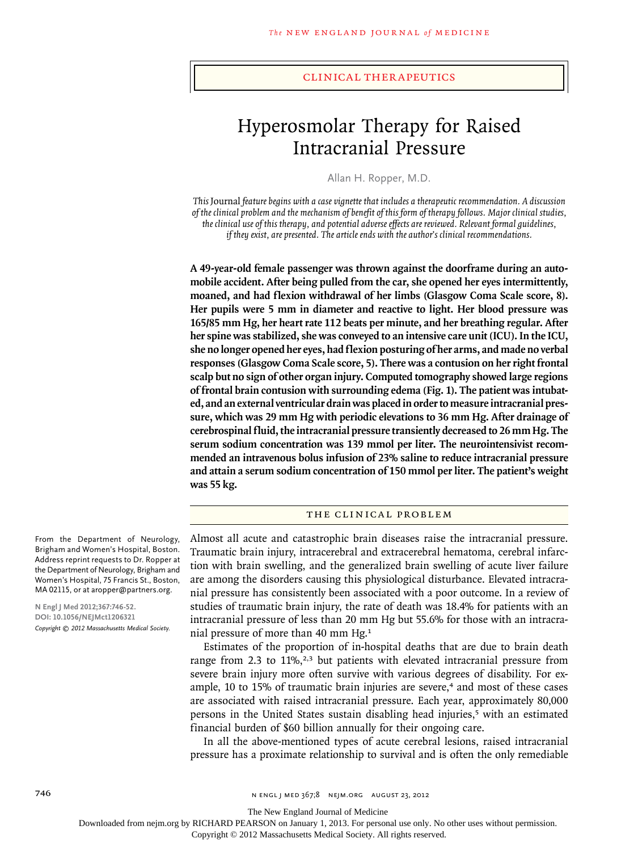### clinical therapeutics

# Hyperosmolar Therapy for Raised Intracranial Pressure

Allan H. Ropper, M.D.

*This* Journal *feature begins with a case vignette that includes a therapeutic recommendation. A discussion of the clinical problem and the mechanism of benefit of this form of therapy follows. Major clinical studies, the clinical use of this therapy, and potential adverse effects are reviewed. Relevant formal guidelines, if they exist, are presented. The article ends with the author's clinical recommendations.*

**A 49-year-old female passenger was thrown against the doorframe during an automobile accident. After being pulled from the car, she opened her eyes intermittently, moaned, and had flexion withdrawal of her limbs (Glasgow Coma Scale score, 8). Her pupils were 5 mm in diameter and reactive to light. Her blood pressure was 165/85 mm Hg, her heart rate 112 beats per minute, and her breathing regular. After her spine was stabilized, she was conveyed to an intensive care unit (ICU). In the ICU, she no longer opened her eyes, had flexion posturing of her arms, and made no verbal responses (Glasgow Coma Scale score, 5). There was a contusion on her right frontal scalp but no sign of other organ injury. Computed tomography showed large regions of frontal brain contusion with surrounding edema (Fig. 1). The patient was intubated, and an external ventricular drain was placed in order to measure intracranial pressure, which was 29 mm Hg with periodic elevations to 36 mm Hg. After drainage of cerebrospinal fluid, the intracranial pressure transiently decreased to 26 mm Hg. The serum sodium concentration was 139 mmol per liter. The neurointensivist recommended an intravenous bolus infusion of 23% saline to reduce intracranial pressure and attain a serum sodium concentration of 150 mmol per liter. The patient's weight was 55 kg.**

# THE CLINICAL PROBLEM

Almost all acute and catastrophic brain diseases raise the intracranial pressure. Traumatic brain injury, intracerebral and extracerebral hematoma, cerebral infarction with brain swelling, and the generalized brain swelling of acute liver failure are among the disorders causing this physiological disturbance. Elevated intracranial pressure has consistently been associated with a poor outcome. In a review of studies of traumatic brain injury, the rate of death was 18.4% for patients with an intracranial pressure of less than 20 mm Hg but 55.6% for those with an intracranial pressure of more than 40 mm Hg.<sup>1</sup>

Estimates of the proportion of in-hospital deaths that are due to brain death range from 2.3 to  $11\%$ <sup>2,3</sup> but patients with elevated intracranial pressure from severe brain injury more often survive with various degrees of disability. For example, 10 to 15% of traumatic brain injuries are severe,<sup>4</sup> and most of these cases are associated with raised intracranial pressure. Each year, approximately 80,000 persons in the United States sustain disabling head injuries,5 with an estimated financial burden of \$60 billion annually for their ongoing care.

In all the above-mentioned types of acute cerebral lesions, raised intracranial pressure has a proximate relationship to survival and is often the only remediable

From the Department of Neurology, Brigham and Women's Hospital, Boston. Address reprint requests to Dr. Ropper at the Department of Neurology, Brigham and Women's Hospital, 75 Francis St., Boston, MA 02115, or at aropper@partners.org.

**N Engl J Med 2012;367:746-52. DOI: 10.1056/NEJMct1206321** *Copyright © 2012 Massachusetts Medical Society.*

The New England Journal of Medicine

Downloaded from nejm.org by RICHARD PEARSON on January 1, 2013. For personal use only. No other uses without permission.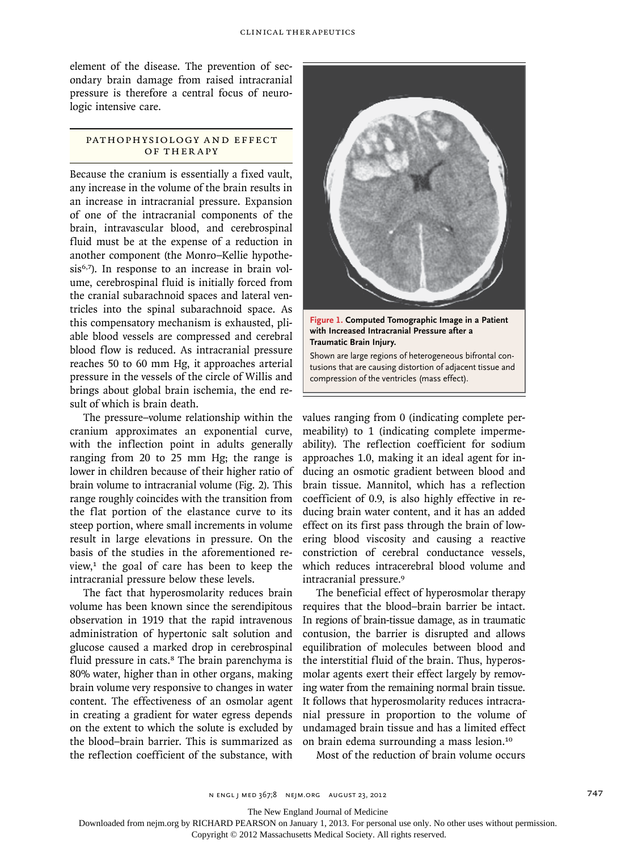element of the disease. The prevention of secondary brain damage from raised intracranial pressure is therefore a central focus of neurologic intensive care.

# PATHOPHYSIOLOGY AND EFFECT of Ther a py

Because the cranium is essentially a fixed vault, any increase in the volume of the brain results in an increase in intracranial pressure. Expansion of one of the intracranial components of the brain, intravascular blood, and cerebrospinal fluid must be at the expense of a reduction in another component (the Monro–Kellie hypothesis<sup>6,7</sup>). In response to an increase in brain volume, cerebrospinal fluid is initially forced from the cranial subarachnoid spaces and lateral ventricles into the spinal subarachnoid space. As this compensatory mechanism is exhausted, pliable blood vessels are compressed and cerebral blood flow is reduced. As intracranial pressure reaches 50 to 60 mm Hg, it approaches arterial pressure in the vessels of the circle of Willis and brings about global brain ischemia, the end result of which is brain death.

The pressure–volume relationship within the cranium approximates an exponential curve, with the inflection point in adults generally ranging from 20 to 25 mm Hg; the range is lower in children because of their higher ratio of brain volume to intracranial volume (Fig. 2). This range roughly coincides with the transition from the flat portion of the elastance curve to its steep portion, where small increments in volume result in large elevations in pressure. On the basis of the studies in the aforementioned re $view<sub>1</sub>$ <sup>1</sup> the goal of care has been to keep the intracranial pressure below these levels.

The fact that hyperosmolarity reduces brain volume has been known since the serendipitous observation in 1919 that the rapid intravenous administration of hypertonic salt solution and glucose caused a marked drop in cerebrospinal fluid pressure in cats.8 The brain parenchyma is 80% water, higher than in other organs, making brain volume very responsive to changes in water content. The effectiveness of an osmolar agent in creating a gradient for water egress depends on the extent to which the solute is excluded by the blood–brain barrier. This is summarized as the reflection coefficient of the substance, with



values ranging from 0 (indicating complete permeability) to 1 (indicating complete impermeability). The reflection coefficient for sodium approaches 1.0, making it an ideal agent for inducing an osmotic gradient between blood and brain tissue. Mannitol, which has a reflection coefficient of 0.9, is also highly effective in reducing brain water content, and it has an added effect on its first pass through the brain of lowering blood viscosity and causing a reactive constriction of cerebral conductance vessels, which reduces intracerebral blood volume and intracranial pressure.<sup>9</sup>

The beneficial effect of hyperosmolar therapy requires that the blood–brain barrier be intact. In regions of brain-tissue damage, as in traumatic contusion, the barrier is disrupted and allows equilibration of molecules between blood and the interstitial fluid of the brain. Thus, hyperosmolar agents exert their effect largely by removing water from the remaining normal brain tissue. It follows that hyperosmolarity reduces intracranial pressure in proportion to the volume of undamaged brain tissue and has a limited effect on brain edema surrounding a mass lesion.<sup>10</sup>

Most of the reduction of brain volume occurs

The New England Journal of Medicine

Downloaded from nejm.org by RICHARD PEARSON on January 1, 2013. For personal use only. No other uses without permission.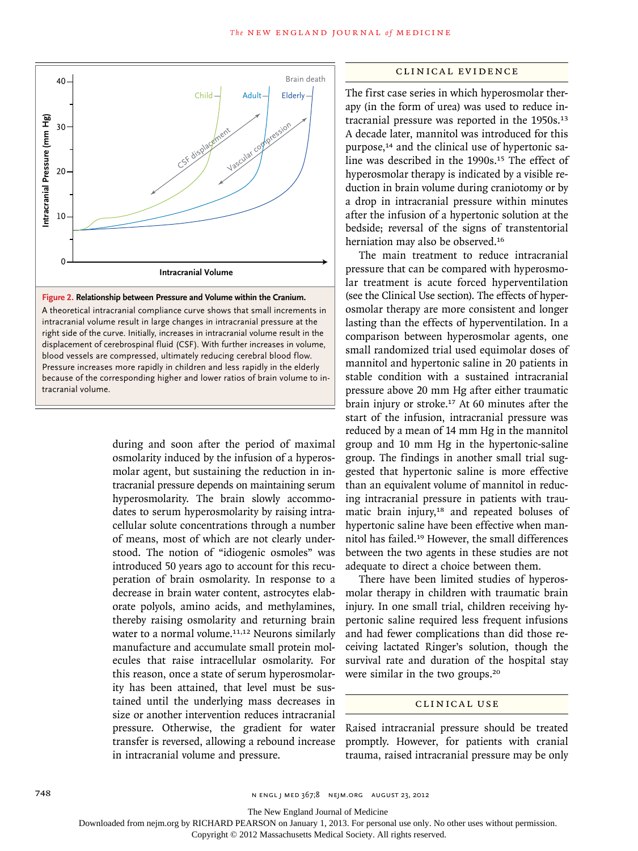

## **Figure 2. Relationship between Pressure and Volume within the Cranium.**

A theoretical intracranial compliance curve shows that small increments in intracranial volume result in large changes in intracranial pressure at the right side of the curve. Initially, increases in intracranial volume result in the displacement of cerebrospinal fluid (CSF). With further increases in volume, blood vessels are compressed, ultimately reducing cerebral blood flow. Pressure increases more rapidly in children and less rapidly in the elderly because of the corresponding higher and lower ratios of brain volume to intracranial volume.

> during and soon after the period of maximal osmolarity induced by the infusion of a hyperosmolar agent, but sustaining the reduction in intracranial pressure depends on maintaining serum hyperosmolarity. The brain slowly accommodates to serum hyperosmolarity by raising intracellular solute concentrations through a number of means, most of which are not clearly understood. The notion of "idiogenic osmoles" was introduced 50 years ago to account for this recuperation of brain osmolarity. In response to a decrease in brain water content, astrocytes elaborate polyols, amino acids, and methylamines, thereby raising osmolarity and returning brain water to a normal volume.<sup>11,12</sup> Neurons similarly manufacture and accumulate small protein molecules that raise intracellular osmolarity. For this reason, once a state of serum hyperosmolarity has been attained, that level must be sustained until the underlying mass decreases in size or another intervention reduces intracranial pressure. Otherwise, the gradient for water transfer is reversed, allowing a rebound increase in intracranial volume and pressure.

## CLINICAL EVIDENCE

The first case series in which hyperosmolar therapy (in the form of urea) was used to reduce intracranial pressure was reported in the 1950s.<sup>13</sup> A decade later, mannitol was introduced for this purpose,<sup>14</sup> and the clinical use of hypertonic saline was described in the 1990s.<sup>15</sup> The effect of hyperosmolar therapy is indicated by a visible reduction in brain volume during craniotomy or by a drop in intracranial pressure within minutes after the infusion of a hypertonic solution at the bedside; reversal of the signs of transtentorial herniation may also be observed.<sup>16</sup>

The main treatment to reduce intracranial pressure that can be compared with hyperosmolar treatment is acute forced hyperventilation (see the Clinical Use section). The effects of hyperosmolar therapy are more consistent and longer lasting than the effects of hyperventilation. In a comparison between hyperosmolar agents, one small randomized trial used equimolar doses of mannitol and hypertonic saline in 20 patients in stable condition with a sustained intracranial pressure above 20 mm Hg after either traumatic brain injury or stroke.17 At 60 minutes after the start of the infusion, intracranial pressure was reduced by a mean of 14 mm Hg in the mannitol group and 10 mm Hg in the hypertonic-saline group. The findings in another small trial suggested that hypertonic saline is more effective than an equivalent volume of mannitol in reducing intracranial pressure in patients with traumatic brain injury,<sup>18</sup> and repeated boluses of hypertonic saline have been effective when mannitol has failed.19 However, the small differences between the two agents in these studies are not adequate to direct a choice between them.

There have been limited studies of hyperosmolar therapy in children with traumatic brain injury. In one small trial, children receiving hypertonic saline required less frequent infusions and had fewer complications than did those receiving lactated Ringer's solution, though the survival rate and duration of the hospital stay were similar in the two groups.<sup>20</sup>

## CLINICAL USE

Raised intracranial pressure should be treated promptly. However, for patients with cranial trauma, raised intracranial pressure may be only

748 n engl j med 367;8 nejm.org august 23, 2012

The New England Journal of Medicine

Downloaded from nejm.org by RICHARD PEARSON on January 1, 2013. For personal use only. No other uses without permission.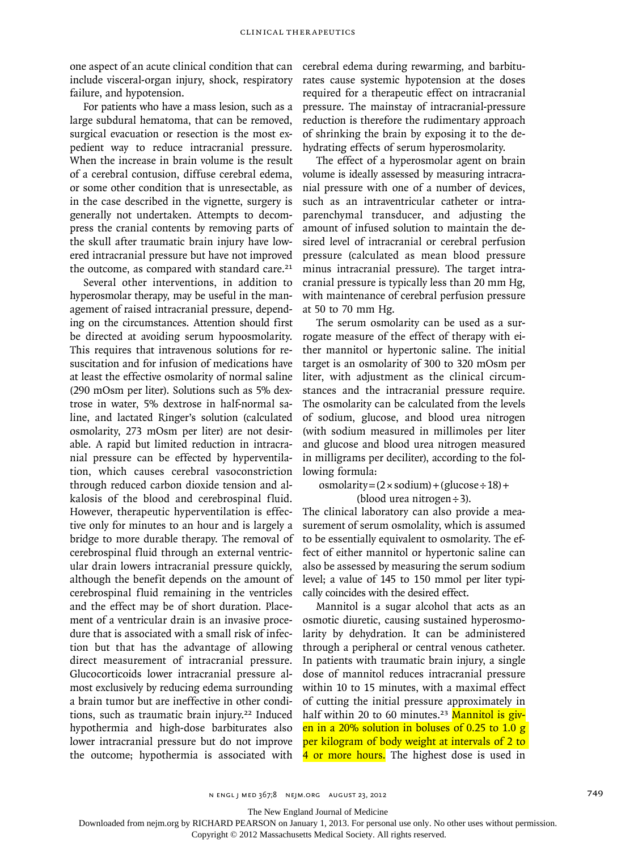one aspect of an acute clinical condition that can include visceral-organ injury, shock, respiratory failure, and hypotension.

For patients who have a mass lesion, such as a large subdural hematoma, that can be removed, surgical evacuation or resection is the most expedient way to reduce intracranial pressure. When the increase in brain volume is the result of a cerebral contusion, diffuse cerebral edema, or some other condition that is unresectable, as in the case described in the vignette, surgery is generally not undertaken. Attempts to decompress the cranial contents by removing parts of the skull after traumatic brain injury have lowered intracranial pressure but have not improved the outcome, as compared with standard care.<sup>21</sup>

Several other interventions, in addition to hyperosmolar therapy, may be useful in the management of raised intracranial pressure, depending on the circumstances. Attention should first be directed at avoiding serum hypoosmolarity. This requires that intravenous solutions for resuscitation and for infusion of medications have at least the effective osmolarity of normal saline (290 mOsm per liter). Solutions such as 5% dextrose in water, 5% dextrose in half-normal saline, and lactated Ringer's solution (calculated osmolarity, 273 mOsm per liter) are not desirable. A rapid but limited reduction in intracranial pressure can be effected by hyperventilation, which causes cerebral vasoconstriction through reduced carbon dioxide tension and alkalosis of the blood and cerebrospinal fluid. However, therapeutic hyperventilation is effective only for minutes to an hour and is largely a bridge to more durable therapy. The removal of cerebrospinal fluid through an external ventricular drain lowers intracranial pressure quickly, although the benefit depends on the amount of cerebrospinal fluid remaining in the ventricles and the effect may be of short duration. Placement of a ventricular drain is an invasive procedure that is associated with a small risk of infection but that has the advantage of allowing direct measurement of intracranial pressure. Glucocorticoids lower intracranial pressure almost exclusively by reducing edema surrounding a brain tumor but are ineffective in other conditions, such as traumatic brain injury.<sup>22</sup> Induced hypothermia and high-dose barbiturates also lower intracranial pressure but do not improve the outcome; hypothermia is associated with

cerebral edema during rewarming, and barbiturates cause systemic hypotension at the doses required for a therapeutic effect on intracranial pressure. The mainstay of intracranial-pressure reduction is therefore the rudimentary approach of shrinking the brain by exposing it to the dehydrating effects of serum hyperosmolarity.

The effect of a hyperosmolar agent on brain volume is ideally assessed by measuring intracranial pressure with one of a number of devices, such as an intraventricular catheter or intraparenchymal transducer, and adjusting the amount of infused solution to maintain the desired level of intracranial or cerebral perfusion pressure (calculated as mean blood pressure minus intracranial pressure). The target intracranial pressure is typically less than 20 mm Hg, with maintenance of cerebral perfusion pressure at 50 to 70 mm Hg.

The serum osmolarity can be used as a surrogate measure of the effect of therapy with either mannitol or hypertonic saline. The initial target is an osmolarity of 300 to 320 mOsm per liter, with adjustment as the clinical circumstances and the intracranial pressure require. The osmolarity can be calculated from the levels of sodium, glucose, and blood urea nitrogen (with sodium measured in millimoles per liter and glucose and blood urea nitrogen measured in milligrams per deciliter), according to the following formula:

 $osmolarity = (2 \times sodium) + (glucose \div 18) +$ 

(blood urea nitrogen  $\div$ 3).

The clinical laboratory can also provide a measurement of serum osmolality, which is assumed to be essentially equivalent to osmolarity. The effect of either mannitol or hypertonic saline can also be assessed by measuring the serum sodium level; a value of 145 to 150 mmol per liter typically coincides with the desired effect.

Mannitol is a sugar alcohol that acts as an osmotic diuretic, causing sustained hyperosmolarity by dehydration. It can be administered through a peripheral or central venous catheter. In patients with traumatic brain injury, a single dose of mannitol reduces intracranial pressure within 10 to 15 minutes, with a maximal effect of cutting the initial pressure approximately in half within 20 to 60 minutes.<sup>23</sup> Mannitol is given in a 20% solution in boluses of 0.25 to 1.0 g per kilogram of body weight at intervals of 2 to 4 or more hours. The highest dose is used in

The New England Journal of Medicine

Downloaded from nejm.org by RICHARD PEARSON on January 1, 2013. For personal use only. No other uses without permission.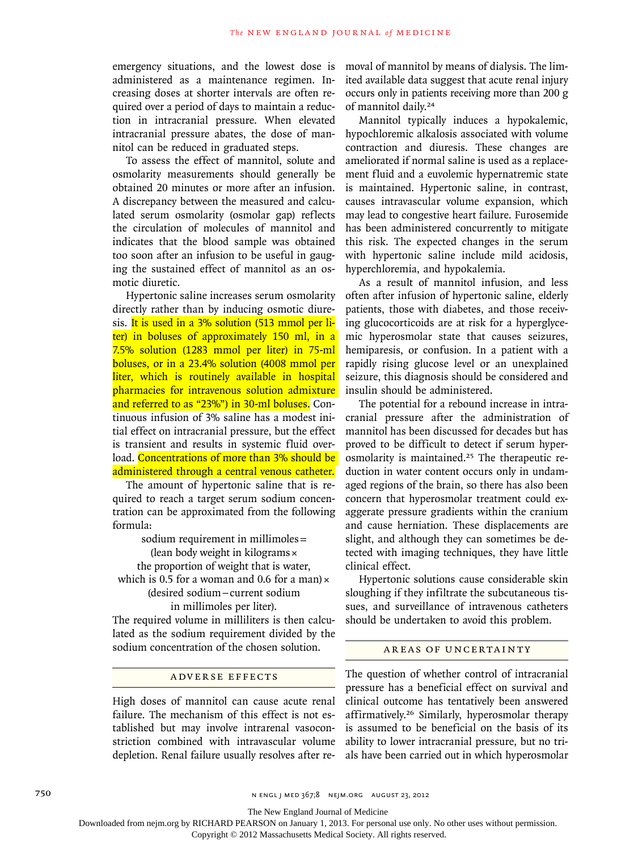emergency situations, and the lowest dose is administered as a maintenance regimen. Increasing doses at shorter intervals are often required over a period of days to maintain a reduction in intracranial pressure. When elevated intracranial pressure abates, the dose of mannitol can be reduced in graduated steps.

To assess the effect of mannitol, solute and osmolarity measurements should generally be obtained 20 minutes or more after an infusion. A discrepancy between the measured and calculated serum osmolarity (osmolar gap) reflects the circulation of molecules of mannitol and indicates that the blood sample was obtained too soon after an infusion to be useful in gauging the sustained effect of mannitol as an osmotic diuretic.

Hypertonic saline increases serum osmolarity directly rather than by inducing osmotic diuresis. It is used in a 3% solution (513 mmol per liter) in boluses of approximately 150 ml, in a 7.5% solution (1283 mmol per liter) in 75-ml boluses, or in a 23.4% solution (4008 mmol per liter, which is routinely available in hospital pharmacies for intravenous solution admixture and referred to as "23%") in 30-ml boluses. Continuous infusion of 3% saline has a modest initial effect on intracranial pressure, but the effect is transient and results in systemic fluid overload. Concentrations of more than 3% should be administered through a central venous catheter.

The amount of hypertonic saline that is required to reach a target serum sodium concentration can be approximated from the following formula:

sodium requirement in millimoles=

(lean body weight in kilograms×

the proportion of weight that is water, which is 0.5 for a woman and 0.6 for a man) $\times$ (desired sodium−current sodium

in millimoles per liter).

The required volume in milliliters is then calculated as the sodium requirement divided by the sodium concentration of the chosen solution.

## A DVERSE EFFECTS

High doses of mannitol can cause acute renal failure. The mechanism of this effect is not established but may involve intrarenal vasoconstriction combined with intravascular volume depletion. Renal failure usually resolves after removal of mannitol by means of dialysis. The limited available data suggest that acute renal injury occurs only in patients receiving more than 200 g of mannitol daily.<sup>24</sup>

Mannitol typically induces a hypokalemic, hypochloremic alkalosis associated with volume contraction and diuresis. These changes are ameliorated if normal saline is used as a replacement fluid and a euvolemic hypernatremic state is maintained. Hypertonic saline, in contrast, causes intravascular volume expansion, which may lead to congestive heart failure. Furosemide has been administered concurrently to mitigate this risk. The expected changes in the serum with hypertonic saline include mild acidosis, hyperchloremia, and hypokalemia.

As a result of mannitol infusion, and less often after infusion of hypertonic saline, elderly patients, those with diabetes, and those receiving glucocorticoids are at risk for a hyperglycemic hyperosmolar state that causes seizures, hemiparesis, or confusion. In a patient with a rapidly rising glucose level or an unexplained seizure, this diagnosis should be considered and insulin should be administered.

The potential for a rebound increase in intracranial pressure after the administration of mannitol has been discussed for decades but has proved to be difficult to detect if serum hyperosmolarity is maintained.25 The therapeutic reduction in water content occurs only in undamaged regions of the brain, so there has also been concern that hyperosmolar treatment could exaggerate pressure gradients within the cranium and cause herniation. These displacements are slight, and although they can sometimes be detected with imaging techniques, they have little clinical effect.

Hypertonic solutions cause considerable skin sloughing if they infiltrate the subcutaneous tissues, and surveillance of intravenous catheters should be undertaken to avoid this problem.

## AREAS OF UNCERTAINTY

The question of whether control of intracranial pressure has a beneficial effect on survival and clinical outcome has tentatively been answered affirmatively.26 Similarly, hyperosmolar therapy is assumed to be beneficial on the basis of its ability to lower intracranial pressure, but no trials have been carried out in which hyperosmolar

750 n engl j med 367;8 nejm.org august 23, 2012

The New England Journal of Medicine

Downloaded from nejm.org by RICHARD PEARSON on January 1, 2013. For personal use only. No other uses without permission.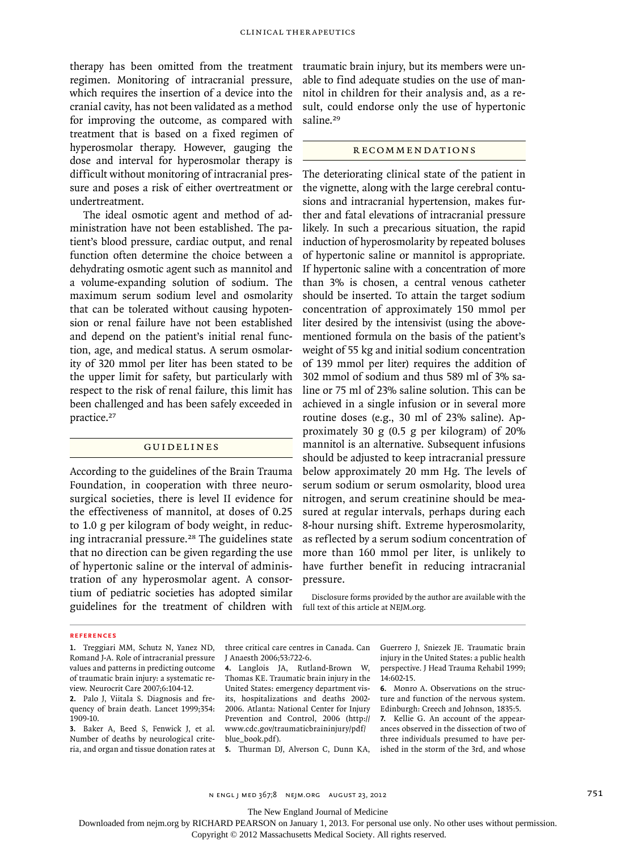therapy has been omitted from the treatment traumatic brain injury, but its members were unregimen. Monitoring of intracranial pressure, which requires the insertion of a device into the cranial cavity, has not been validated as a method for improving the outcome, as compared with treatment that is based on a fixed regimen of hyperosmolar therapy. However, gauging the dose and interval for hyperosmolar therapy is difficult without monitoring of intracranial pressure and poses a risk of either overtreatment or undertreatment.

The ideal osmotic agent and method of administration have not been established. The patient's blood pressure, cardiac output, and renal function often determine the choice between a dehydrating osmotic agent such as mannitol and a volume-expanding solution of sodium. The maximum serum sodium level and osmolarity that can be tolerated without causing hypotension or renal failure have not been established and depend on the patient's initial renal function, age, and medical status. A serum osmolarity of 320 mmol per liter has been stated to be the upper limit for safety, but particularly with respect to the risk of renal failure, this limit has been challenged and has been safely exceeded in practice.<sup>27</sup>

## Guidelines

According to the guidelines of the Brain Trauma Foundation, in cooperation with three neurosurgical societies, there is level II evidence for the effectiveness of mannitol, at doses of 0.25 to 1.0 g per kilogram of body weight, in reducing intracranial pressure.28 The guidelines state that no direction can be given regarding the use of hypertonic saline or the interval of administration of any hyperosmolar agent. A consortium of pediatric societies has adopted similar guidelines for the treatment of children with

able to find adequate studies on the use of mannitol in children for their analysis and, as a result, could endorse only the use of hypertonic saline.<sup>29</sup>

#### **RECOMMENDATIONS**

The deteriorating clinical state of the patient in the vignette, along with the large cerebral contusions and intracranial hypertension, makes further and fatal elevations of intracranial pressure likely. In such a precarious situation, the rapid induction of hyperosmolarity by repeated boluses of hypertonic saline or mannitol is appropriate. If hypertonic saline with a concentration of more than 3% is chosen, a central venous catheter should be inserted. To attain the target sodium concentration of approximately 150 mmol per liter desired by the intensivist (using the abovementioned formula on the basis of the patient's weight of 55 kg and initial sodium concentration of 139 mmol per liter) requires the addition of 302 mmol of sodium and thus 589 ml of 3% saline or 75 ml of 23% saline solution. This can be achieved in a single infusion or in several more routine doses (e.g., 30 ml of 23% saline). Approximately 30 g (0.5 g per kilogram) of 20% mannitol is an alternative. Subsequent infusions should be adjusted to keep intracranial pressure below approximately 20 mm Hg. The levels of serum sodium or serum osmolarity, blood urea nitrogen, and serum creatinine should be measured at regular intervals, perhaps during each 8-hour nursing shift. Extreme hyperosmolarity, as reflected by a serum sodium concentration of more than 160 mmol per liter, is unlikely to have further benefit in reducing intracranial pressure.

Disclosure forms provided by the author are available with the full text of this article at NEJM.org.

#### **References**

**1.** Treggiari MM, Schutz N, Yanez ND, Romand J-A. Role of intracranial pressure values and patterns in predicting outcome of traumatic brain injury: a systematic review. Neurocrit Care 2007;6:104-12.

**2.** Palo J, Viitala S. Diagnosis and frequency of brain death. Lancet 1999;354: 1909-10.

**3.** Baker A, Beed S, Fenwick J, et al. Number of deaths by neurological criteria, and organ and tissue donation rates at

three critical care centres in Canada. Can J Anaesth 2006;53:722-6.

**4.** Langlois JA, Rutland-Brown W, Thomas KE. Traumatic brain injury in the United States: emergency department visits, hospitalizations and deaths 2002- 2006. Atlanta: National Center for Injury Prevention and Control, 2006 (http:// www.cdc.gov/traumaticbraininjury/pdf/ blue\_book.pdf).

**5.** Thurman DJ, Alverson C, Dunn KA,

Guerrero J, Sniezek JE. Traumatic brain injury in the United States: a public health perspective. J Head Trauma Rehabil 1999; 14:602-15.

**6.** Monro A. Observations on the structure and function of the nervous system. Edinburgh: Creech and Johnson, 1835:5. **7.** Kellie G. An account of the appearances observed in the dissection of two of three individuals presumed to have perished in the storm of the 3rd, and whose

n engl j med 367;8 nejm.org august 23, 2012 751

The New England Journal of Medicine

Downloaded from nejm.org by RICHARD PEARSON on January 1, 2013. For personal use only. No other uses without permission.